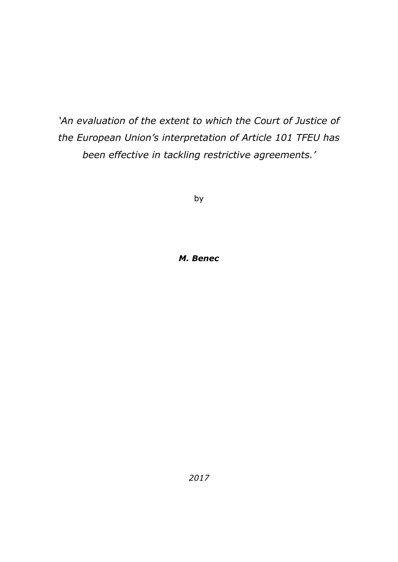*'An evaluation of the extent to which the Court of Justice of the European Union's interpretation of Article 101 TFEU has been effective in tackling restrictive agreements.'*

by

## *M. Benec*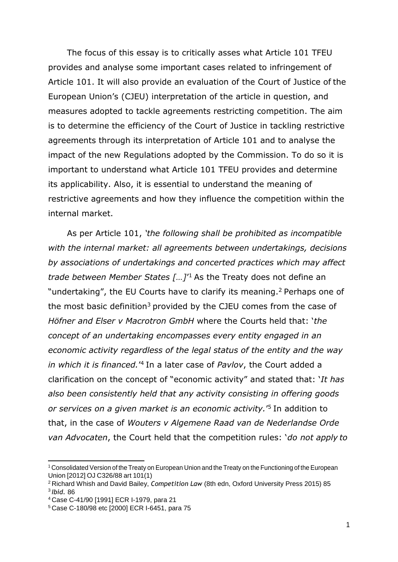The focus of this essay is to critically asses what Article 101 TFEU provides and analyse some important cases related to infringement of Article 101. It will also provide an evaluation of the Court of Justice of the European Union's (CJEU) interpretation of the article in question, and measures adopted to tackle agreements restricting competition. The aim is to determine the efficiency of the Court of Justice in tackling restrictive agreements through its interpretation of Article 101 and to analyse the impact of the new Regulations adopted by the Commission. To do so it is important to understand what Article 101 TFEU provides and determine its applicability. Also, it is essential to understand the meaning of restrictive agreements and how they influence the competition within the internal market.

As per Article 101, *'the following shall be prohibited as incompatible with the internal market: all agreements between undertakings, decisions by associations of undertakings and concerted practices which may affect*  trade between Member States [...]<sup>'1</sup> As the Treaty does not define an "undertaking", the EU Courts have to clarify its meaning.<sup>2</sup> Perhaps one of the most basic definition<sup>3</sup> provided by the CJEU comes from the case of *Höfner and Elser v Macrotron GmbH* where the Courts held that: '*the concept of an undertaking encompasses every entity engaged in an economic activity regardless of the legal status of the entity and the way*  in which it is financed.<sup>'4</sup> In a later case of *Pavlov*, the Court added a clarification on the concept of "economic activity" and stated that: '*It has also been consistently held that any activity consisting in offering goods or services on a given market is an economic activity.*' <sup>5</sup>In addition to that, in the case of *Wouters v Algemene Raad van de Nederlandse Orde van Advocaten*, the Court held that the competition rules: '*do not apply to*

<sup>1</sup> Consolidated Version of the Treaty on European Union and the Treaty on the Functioning of the European Union [2012] OJ C326/88 art 101(1)

<sup>2</sup>Richard Whish and David Bailey, *Competition Law* (8th edn, Oxford University Press 2015) 85 <sup>3</sup>*Ibid.* 86

<sup>4</sup>Case C-41/90 [1991] ECR I-1979, para 21

<sup>5</sup> Case C-180/98 etc [2000] ECR I-6451, para 75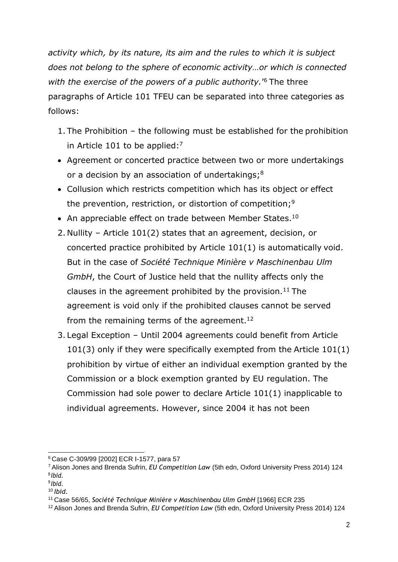*activity which, by its nature, its aim and the rules to which it is subject does not belong to the sphere of economic activity…or which is connected with the exercise of the powers of a public authority.*' <sup>6</sup>The three paragraphs of Article 101 TFEU can be separated into three categories as follows:

- 1. The Prohibition the following must be established for the prohibition in Article 101 to be applied: $7$
- Agreement or concerted practice between two or more undertakings or a decision by an association of undertakings; $8$
- Collusion which restricts competition which has its object or effect the prevention, restriction, or distortion of competition;<sup>9</sup>
- An appreciable effect on trade between Member States.<sup>10</sup>
- 2. Nullity Article 101(2) states that an agreement, decision, or concerted practice prohibited by Article 101(1) is automatically void. But in the case of *Société Technique Minière v Maschinenbau Ulm GmbH*, the Court of Justice held that the nullity affects only the clauses in the agreement prohibited by the provision.<sup>11</sup> The agreement is void only if the prohibited clauses cannot be served from the remaining terms of the agreement.<sup>12</sup>
- 3. Legal Exception Until 2004 agreements could benefit from Article 101(3) only if they were specifically exempted from the Article 101(1) prohibition by virtue of either an individual exemption granted by the Commission or a block exemption granted by EU regulation. The Commission had sole power to declare Article 101(1) inapplicable to individual agreements. However, since 2004 it has not been

<sup>6</sup>Case C-309/99 [2002] ECR I-1577, para 57

<sup>7</sup>Alison Jones and Brenda Sufrin, *EU Competition Law* (5th edn, Oxford University Press 2014) 124 8 *Ibid.*

<sup>9</sup> *Ibid.*

<sup>10</sup>*Ibid.*

<sup>11</sup>Case 56/65, *Société Technique Minière v Maschinenbau Ulm GmbH* [1966] ECR 235

<sup>12</sup> Alison Jones and Brenda Sufrin, *EU Competition Law* (5th edn, Oxford University Press 2014) 124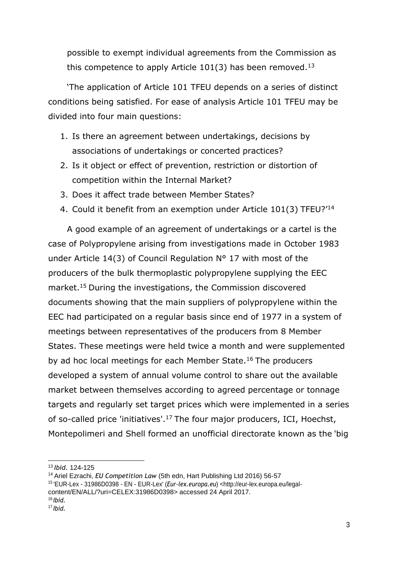possible to exempt individual agreements from the Commission as this competence to apply Article 101(3) has been removed.<sup>13</sup>

'The application of Article 101 TFEU depends on a series of distinct conditions being satisfied. For ease of analysis Article 101 TFEU may be divided into four main questions:

- 1. Is there an agreement between undertakings, decisions by associations of undertakings or concerted practices?
- 2. Is it object or effect of prevention, restriction or distortion of competition within the Internal Market?
- 3. Does it affect trade between Member States?
- 4. Could it benefit from an exemption under Article 101(3) TFEU?'<sup>14</sup>

A good example of an agreement of undertakings or a cartel is the case of Polypropylene arising from investigations made in October 1983 under Article 14(3) of Council Regulation N° 17 with most of the producers of the bulk thermoplastic polypropylene supplying the EEC market.<sup>15</sup> During the investigations, the Commission discovered documents showing that the main suppliers of polypropylene within the EEC had participated on a regular basis since end of 1977 in a system of meetings between representatives of the producers from 8 Member States. These meetings were held twice a month and were supplemented by ad hoc local meetings for each Member State.<sup>16</sup> The producers developed a system of annual volume control to share out the available market between themselves according to agreed percentage or tonnage targets and regularly set target prices which were implemented in a series of so-called price 'initiatives'.<sup>17</sup>The four major producers, ICI, Hoechst, Montepolimeri and Shell formed an unofficial directorate known as the 'big

<sup>14</sup>Ariel Ezrachi, *EU Competition Law* (5th edn, Hart Publishing Ltd 2016) 56-57

<sup>13</sup>*Ibid.* 124-125

<sup>15</sup>'EUR-Lex - 31986D0398 - EN - EUR-Lex' (*Eur-lex.europa.eu*) [<http://eur-lex.europa.eu/legal](http://eur-lex.europa.eu/legal-)content/EN/ALL/?uri=CELEX:31986D0398> accessed 24 April 2017. <sup>16</sup> *Ibid.*

<sup>17</sup> *Ibid.*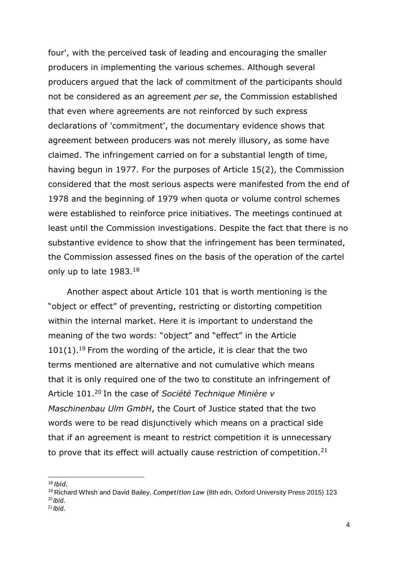four', with the perceived task of leading and encouraging the smaller producers in implementing the various schemes. Although several producers argued that the lack of commitment of the participants should not be considered as an agreement *per se*, the Commission established that even where agreements are not reinforced by such express declarations of 'commitment', the documentary evidence shows that agreement between producers was not merely illusory, as some have claimed. The infringement carried on for a substantial length of time, having begun in 1977. For the purposes of Article 15(2), the Commission considered that the most serious aspects were manifested from the end of 1978 and the beginning of 1979 when quota or volume control schemes were established to reinforce price initiatives. The meetings continued at least until the Commission investigations. Despite the fact that there is no substantive evidence to show that the infringement has been terminated, the Commission assessed fines on the basis of the operation of the cartel only up to late 1983.<sup>18</sup>

Another aspect about Article 101 that is worth mentioning is the "object or effect" of preventing, restricting or distorting competition within the internal market. Here it is important to understand the meaning of the two words: "object" and "effect" in the Article  $101(1).$ <sup>19</sup> From the wording of the article, it is clear that the two terms mentioned are alternative and not cumulative which means that it is only required one of the two to constitute an infringement of Article 101.<sup>20</sup> In the case of *Société Technique Minière v Maschinenbau Ulm GmbH*, the Court of Justice stated that the two words were to be read disjunctively which means on a practical side that if an agreement is meant to restrict competition it is unnecessary to prove that its effect will actually cause restriction of competition.<sup>21</sup>

<sup>18</sup>*Ibid.*

<sup>19</sup>Richard Whish and David Bailey, *Competition Law* (8th edn, Oxford University Press 2015) 123 <sup>20</sup> *Ibid.* <sup>21</sup> *Ibid.*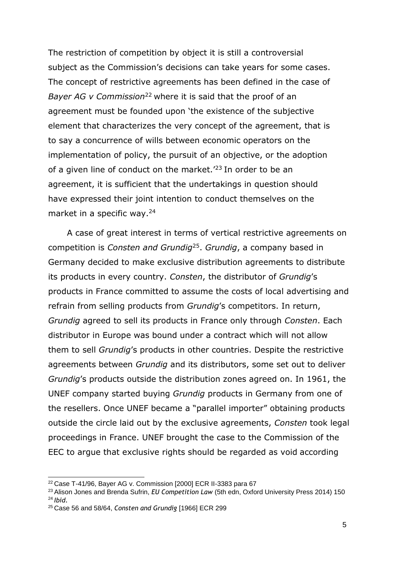The restriction of competition by object it is still a controversial subject as the Commission's decisions can take years for some cases. The concept of restrictive agreements has been defined in the case of *Bayer AG v Commission*<sup>22</sup> where it is said that the proof of an agreement must be founded upon 'the existence of the subjective element that characterizes the very concept of the agreement, that is to say a concurrence of wills between economic operators on the implementation of policy, the pursuit of an objective, or the adoption of a given line of conduct on the market.<sup> $23$ </sup> In order to be an agreement, it is sufficient that the undertakings in question should have expressed their joint intention to conduct themselves on the market in a specific way.<sup>24</sup>

A case of great interest in terms of vertical restrictive agreements on competition is *Consten and Grundig*<sup>25</sup> . *Grundig*, a company based in Germany decided to make exclusive distribution agreements to distribute its products in every country. *Consten*, the distributor of *Grundig*'s products in France committed to assume the costs of local advertising and refrain from selling products from *Grundig*'s competitors. In return, *Grundig* agreed to sell its products in France only through *Consten*. Each distributor in Europe was bound under a contract which will not allow them to sell *Grundig*'s products in other countries. Despite the restrictive agreements between *Grundig* and its distributors, some set out to deliver *Grundig*'s products outside the distribution zones agreed on. In 1961, the UNEF company started buying *Grundig* products in Germany from one of the resellers. Once UNEF became a "parallel importer" obtaining products outside the circle laid out by the exclusive agreements, *Consten* took legal proceedings in France. UNEF brought the case to the Commission of the EEC to argue that exclusive rights should be regarded as void according

<sup>22</sup>Case T-41/96, Bayer AG v. Commission [2000] ECR II-3383 para 67

<sup>23</sup>Alison Jones and Brenda Sufrin, *EU Competition Law* (5th edn, Oxford University Press 2014) 150 <sup>24</sup>*Ibid.*

<sup>25</sup> Case 56 and 58/64, *Consten and Grundig* [1966] ECR 299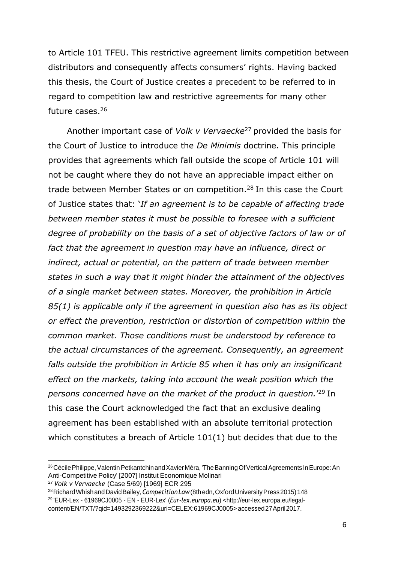to Article 101 TFEU. This restrictive agreement limits competition between distributors and consequently affects consumers' rights. Having backed this thesis, the Court of Justice creates a precedent to be referred to in regard to competition law and restrictive agreements for many other future cases.<sup>26</sup>

Another important case of *Volk v Vervaecke*<sup>27</sup> provided the basis for the Court of Justice to introduce the *De Minimis* doctrine. This principle provides that agreements which fall outside the scope of Article 101 will not be caught where they do not have an appreciable impact either on trade between Member States or on competition.<sup>28</sup> In this case the Court of Justice states that: '*If an agreement is to be capable of affecting trade between member states it must be possible to foresee with a sufficient degree of probability on the basis of a set of objective factors of law or of fact that the agreement in question may have an influence, direct or indirect, actual or potential, on the pattern of trade between member states in such a way that it might hinder the attainment of the objectives of a single market between states. Moreover, the prohibition in Article 85(1) is applicable only if the agreement in question also has as its object or effect the prevention, restriction or distortion of competition within the common market. Those conditions must be understood by reference to the actual circumstances of the agreement. Consequently, an agreement falls outside the prohibition in Article 85 when it has only an insignificant effect on the markets, taking into account the weak position which the*  persons concerned have on the market of the product in question.'<sup>29</sup> In this case the Court acknowledged the fact that an exclusive dealing agreement has been established with an absolute territorial protection which constitutes a breach of Article 101(1) but decides that due to the

<sup>&</sup>lt;sup>26</sup> Cécile Philippe, Valentin Petkantchin and Xavier Méra, 'The Banning Of Vertical Agreements In Europe: An Anti-Competitive Policy' [2007] Institut Economique Molinari

<sup>27</sup>*Volk v Vervaecke* (Case 5/69) [1969] ECR 295

<sup>&</sup>lt;sup>28</sup> Richard Whish and David Bailey, Competition Law (8th edn, Oxford University Press 2015) 148 <sup>29</sup>'EUR-Lex - 61969CJ0005 - EN - EUR-Lex' (*Eur-lex.europa.eu*[\) <http://eur-lex.europa.eu/legal](http://eur-lex.europa.eu/legal-)content/EN/TXT/?qid=1493292369222&uri=CELEX:61969CJ0005> accessed27April2017.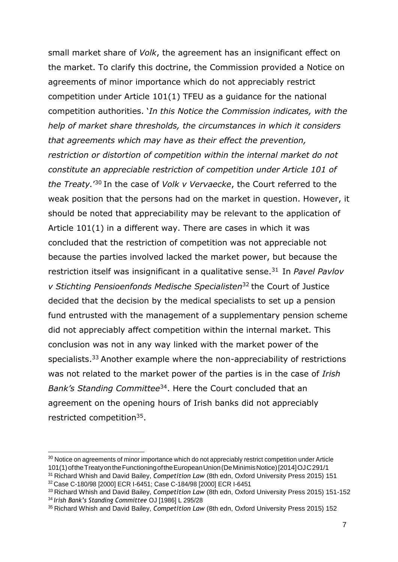small market share of *Volk*, the agreement has an insignificant effect on the market. To clarify this doctrine, the Commission provided a Notice on agreements of minor importance which do not appreciably restrict competition under Article 101(1) TFEU as a guidance for the national competition authorities. '*In this Notice the Commission indicates, with the help of market share thresholds, the circumstances in which it considers that agreements which may have as their effect the prevention, restriction or distortion of competition within the internal market do not constitute an appreciable restriction of competition under Article 101 of*  the Treaty.'<sup>30</sup> In the case of *Volk v Vervaecke*, the Court referred to the weak position that the persons had on the market in question. However, it should be noted that appreciability may be relevant to the application of Article 101(1) in a different way. There are cases in which it was concluded that the restriction of competition was not appreciable not because the parties involved lacked the market power, but because the restriction itself was insignificant in a qualitative sense.<sup>31</sup> In *Pavel Pavlov v Stichting Pensioenfonds Medische Specialisten*<sup>32</sup>the Court of Justice decided that the decision by the medical specialists to set up a pension fund entrusted with the management of a supplementary pension scheme did not appreciably affect competition within the internal market. This conclusion was not in any way linked with the market power of the specialists.<sup>33</sup> Another example where the non-appreciability of restrictions was not related to the market power of the parties is in the case of *Irish Bank's Standing Committee*<sup>34</sup>. Here the Court concluded that an agreement on the opening hours of Irish banks did not appreciably restricted competition<sup>35</sup>.

<sup>&</sup>lt;sup>30</sup> Notice on agreements of minor importance which do not appreciably restrict competition under Article 101(1)oftheTreatyontheFunctioningoftheEuropeanUnion(DeMinimisNotice)[2014]OJC291/1

<sup>31</sup>Richard Whish and David Bailey, *Competition Law* (8th edn, Oxford University Press 2015) 151 <sup>32</sup>Case C-180/98 [2000] ECR I-6451; Case C-184/98 [2000] ECR I-6451

<sup>33</sup>Richard Whish and David Bailey, *Competition Law* (8th edn, Oxford University Press 2015) 151-152

<sup>34</sup>*Irish Bank's Standing Committee* OJ [1986] L 295/28

<sup>35</sup> Richard Whish and David Bailey, *Competition Law* (8th edn, Oxford University Press 2015) 152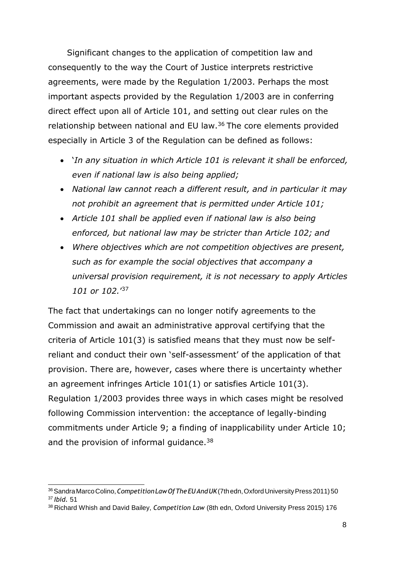Significant changes to the application of competition law and consequently to the way the Court of Justice interprets restrictive agreements, were made by the Regulation 1/2003. Perhaps the most important aspects provided by the Regulation 1/2003 are in conferring direct effect upon all of Article 101, and setting out clear rules on the relationship between national and EU law.<sup>36</sup> The core elements provided especially in Article 3 of the Regulation can be defined as follows:

- '*In any situation in which Article 101 is relevant it shall be enforced, even if national law is also being applied;*
- *National law cannot reach a different result, and in particular it may not prohibit an agreement that is permitted under Article 101;*
- *Article 101 shall be applied even if national law is also being enforced, but national law may be stricter than Article 102; and*
- *Where objectives which are not competition objectives are present, such as for example the social objectives that accompany a universal provision requirement, it is not necessary to apply Articles 101 or 102.*' 37

The fact that undertakings can no longer notify agreements to the Commission and await an administrative approval certifying that the criteria of Article 101(3) is satisfied means that they must now be selfreliant and conduct their own 'self-assessment' of the application of that provision. There are, however, cases where there is uncertainty whether an agreement infringes Article 101(1) or satisfies Article 101(3). Regulation 1/2003 provides three ways in which cases might be resolved following Commission intervention: the acceptance of legally-binding commitments under Article 9; a finding of inapplicability under Article 10; and the provision of informal guidance.<sup>38</sup>

<sup>&</sup>lt;sup>36</sup> Sandra Marco Colino, *Competition Law Of The EU And UK* (7th edn, Oxford University Press 2011) 50 <sup>37</sup>*Ibid.* 51

<sup>38</sup> Richard Whish and David Bailey, *Competition Law* (8th edn, Oxford University Press 2015) 176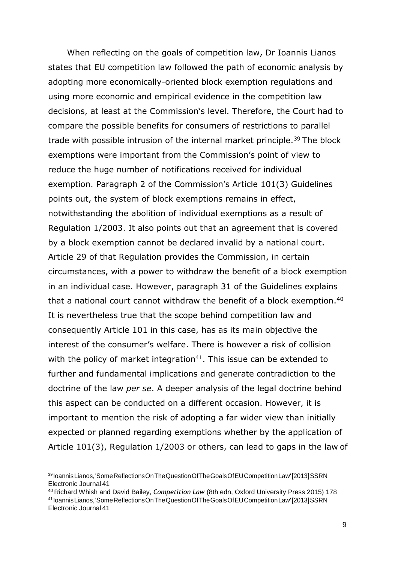When reflecting on the goals of competition law, Dr Ioannis Lianos states that EU competition law followed the path of economic analysis by adopting more economically-oriented block exemption regulations and using more economic and empirical evidence in the competition law decisions, at least at the Commission's level. Therefore, the Court had to compare the possible benefits for consumers of restrictions to parallel trade with possible intrusion of the internal market principle.<sup>39</sup> The block exemptions were important from the Commission's point of view to reduce the huge number of notifications received for individual exemption. Paragraph 2 of the Commission's Article 101(3) Guidelines points out, the system of block exemptions remains in effect, notwithstanding the abolition of individual exemptions as a result of Regulation 1/2003. It also points out that an agreement that is covered by a block exemption cannot be declared invalid by a national court. Article 29 of that Regulation provides the Commission, in certain circumstances, with a power to withdraw the benefit of a block exemption in an individual case. However, paragraph 31 of the Guidelines explains that a national court cannot withdraw the benefit of a block exemption.<sup>40</sup> It is nevertheless true that the scope behind competition law and consequently Article 101 in this case, has as its main objective the interest of the consumer's welfare. There is however a risk of collision with the policy of market integration $41$ . This issue can be extended to further and fundamental implications and generate contradiction to the doctrine of the law *per se*. A deeper analysis of the legal doctrine behind this aspect can be conducted on a different occasion. However, it is important to mention the risk of adopting a far wider view than initially expected or planned regarding exemptions whether by the application of Article 101(3), Regulation 1/2003 or others, can lead to gaps in the law of

<sup>40</sup>Richard Whish and David Bailey, *Competition Law* (8th edn, Oxford University Press 2015) 178

<sup>39</sup> IoannisLianos,'SomeReflectionsOnTheQuestionOfTheGoalsOfEUCompetitionLaw'[2013]SSRN Electronic Journal 41

<sup>41</sup> IoannisLianos,'SomeReflectionsOnTheQuestionOfTheGoalsOfEUCompetitionLaw'[2013]SSRN Electronic Journal 41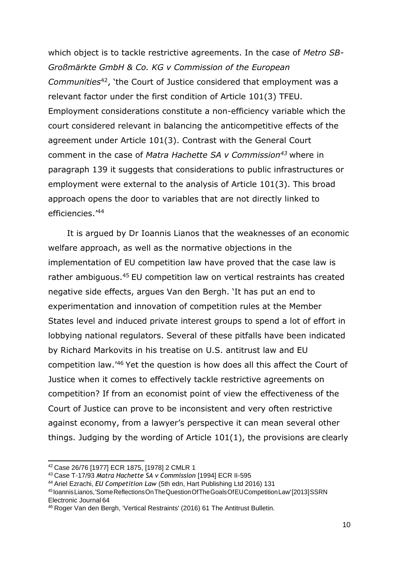which object is to tackle restrictive agreements. In the case of *Metro SB-Großmärkte GmbH & Co. KG v Commission of the European Communities*<sup>42</sup>, 'the Court of Justice considered that employment was a relevant factor under the first condition of Article 101(3) TFEU. Employment considerations constitute a non-efficiency variable which the court considered relevant in balancing the anticompetitive effects of the agreement under Article 101(3). Contrast with the General Court comment in the case of *Matra Hachette SA v Commission<sup>43</sup>*where in paragraph 139 it suggests that considerations to public infrastructures or employment were external to the analysis of Article 101(3). This broad approach opens the door to variables that are not directly linked to efficiencies.'<sup>44</sup>

It is argued by Dr Ioannis Lianos that the weaknesses of an economic welfare approach, as well as the normative objections in the implementation of EU competition law have proved that the case law is rather ambiguous.<sup>45</sup> EU competition law on vertical restraints has created negative side effects, argues Van den Bergh. 'It has put an end to experimentation and innovation of competition rules at the Member States level and induced private interest groups to spend a lot of effort in lobbying national regulators. Several of these pitfalls have been indicated by Richard Markovits in his treatise on U.S. antitrust law and EU competition law.<sup>'46</sup> Yet the question is how does all this affect the Court of Justice when it comes to effectively tackle restrictive agreements on competition? If from an economist point of view the effectiveness of the Court of Justice can prove to be inconsistent and very often restrictive against economy, from a lawyer's perspective it can mean several other things. Judging by the wording of Article 101(1), the provisions are clearly

<sup>42</sup>Case 26/76 [1977] ECR 1875, [1978] 2 CMLR 1

<sup>43</sup>Case T-17/93 *Matra Hachette SA v Commission* [1994] ECR II-595

<sup>44</sup>Ariel Ezrachi, *EU Competition Law* (5th edn, Hart Publishing Ltd 2016) 131

<sup>45</sup> IoannisLianos,'SomeReflectionsOnTheQuestionOfTheGoalsOfEUCompetitionLaw'[2013]SSRN Electronic Journal 64

<sup>46</sup> Roger Van den Bergh, 'Vertical Restraints' (2016) 61 The Antitrust Bulletin.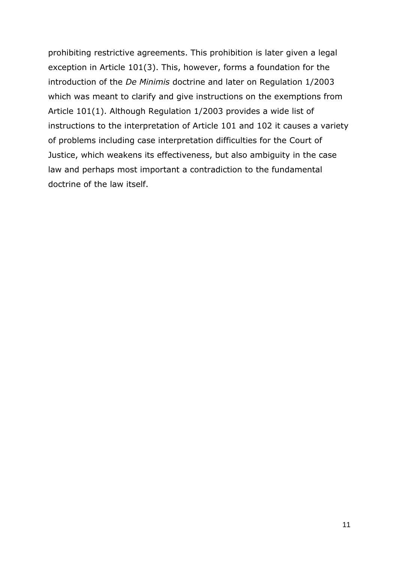prohibiting restrictive agreements. This prohibition is later given a legal exception in Article 101(3). This, however, forms a foundation for the introduction of the *De Minimis* doctrine and later on Regulation 1/2003 which was meant to clarify and give instructions on the exemptions from Article 101(1). Although Regulation 1/2003 provides a wide list of instructions to the interpretation of Article 101 and 102 it causes a variety of problems including case interpretation difficulties for the Court of Justice, which weakens its effectiveness, but also ambiguity in the case law and perhaps most important a contradiction to the fundamental doctrine of the law itself.